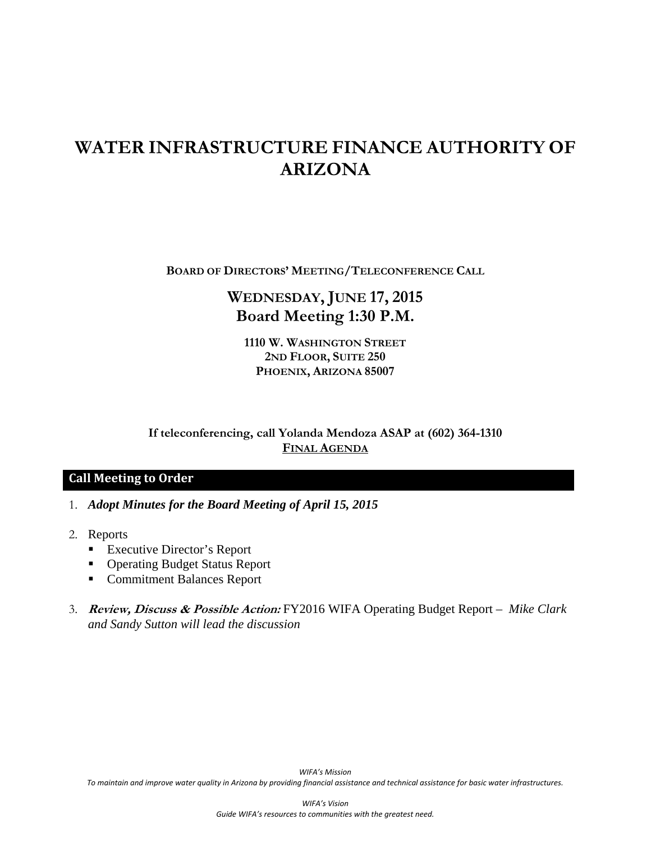# **WATER INFRASTRUCTURE FINANCE AUTHORITY OF ARIZONA**

**BOARD OF DIRECTORS' MEETING/TELECONFERENCE CALL**

# **WEDNESDAY, JUNE 17, 2015 Board Meeting 1:30 P.M.**

**1110 W. WASHINGTON STREET 2ND FLOOR, SUITE 250 PHOENIX, ARIZONA 85007** 

# **If teleconferencing, call Yolanda Mendoza ASAP at (602) 364-1310 FINAL AGENDA**

# **Call Meeting to Order**

- 1. *Adopt Minutes for the Board Meeting of April 15, 2015*
- 2. Reports
	- **Executive Director's Report**
	- Operating Budget Status Report
	- **Commitment Balances Report**
- 3. **Review, Discuss & Possible Action:** FY2016 WIFA Operating Budget Report *Mike Clark and Sandy Sutton will lead the discussion*

*WIFA's Mission* To maintain and improve water quality in Arizona by providing financial assistance and technical assistance for basic water infrastructures.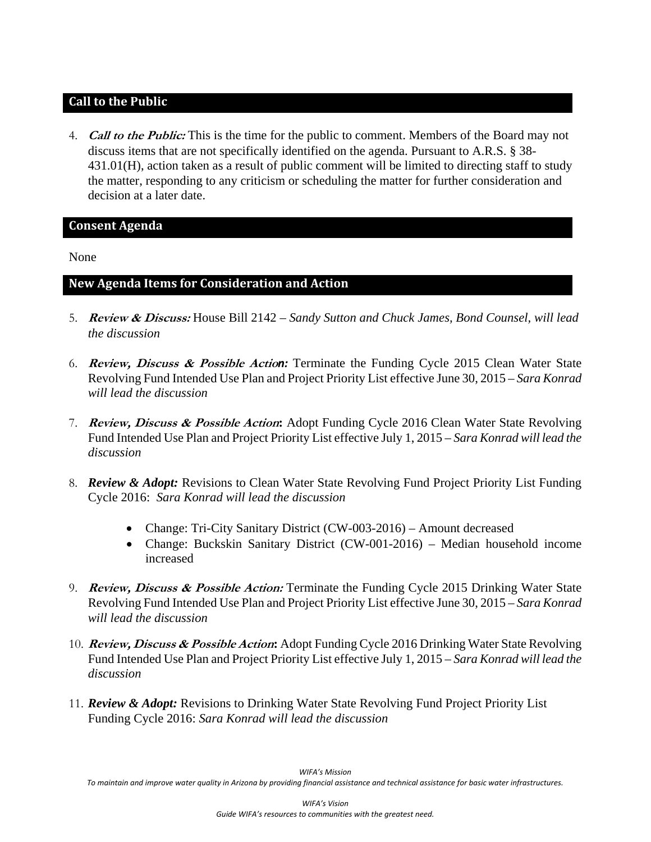# **Call to the Public**

4. **Call to the Public:** This is the time for the public to comment. Members of the Board may not discuss items that are not specifically identified on the agenda. Pursuant to A.R.S. § 38- 431.01(H), action taken as a result of public comment will be limited to directing staff to study the matter, responding to any criticism or scheduling the matter for further consideration and decision at a later date.

# **Consent Agenda**

None

# **New Agenda Items for Consideration and Action**

- 5. **Review & Discuss:** House Bill 2142 *Sandy Sutton and Chuck James, Bond Counsel, will lead the discussion*
- 6. **Review, Discuss & Possible Actio***n:* Terminate the Funding Cycle 2015 Clean Water State Revolving Fund Intended Use Plan and Project Priority List effective June 30, 2015 – *Sara Konrad will lead the discussion*
- 7. **Review, Discuss & Possible Action:** Adopt Funding Cycle 2016 Clean Water State Revolving Fund Intended Use Plan and Project Priority List effective July 1, 2015 – *Sara Konrad will lead the discussion*
- 8. *Review & Adopt:* Revisions to Clean Water State Revolving Fund Project Priority List Funding Cycle 2016: *Sara Konrad will lead the discussion*
	- Change: Tri-City Sanitary District (CW-003-2016) Amount decreased
	- Change: Buckskin Sanitary District (CW-001-2016) Median household income increased
- 9. **Review, Discuss & Possible Action:** Terminate the Funding Cycle 2015 Drinking Water State Revolving Fund Intended Use Plan and Project Priority List effective June 30, 2015 – *Sara Konrad will lead the discussion*
- 10. **Review, Discuss & Possible Action:** Adopt Funding Cycle 2016 Drinking Water State Revolving Fund Intended Use Plan and Project Priority List effective July 1, 2015 – *Sara Konrad will lead the discussion*
- 11. *Review & Adopt:* Revisions to Drinking Water State Revolving Fund Project Priority List Funding Cycle 2016: *Sara Konrad will lead the discussion*

To maintain and improve water quality in Arizona by providing financial assistance and technical assistance for basic water infrastructures.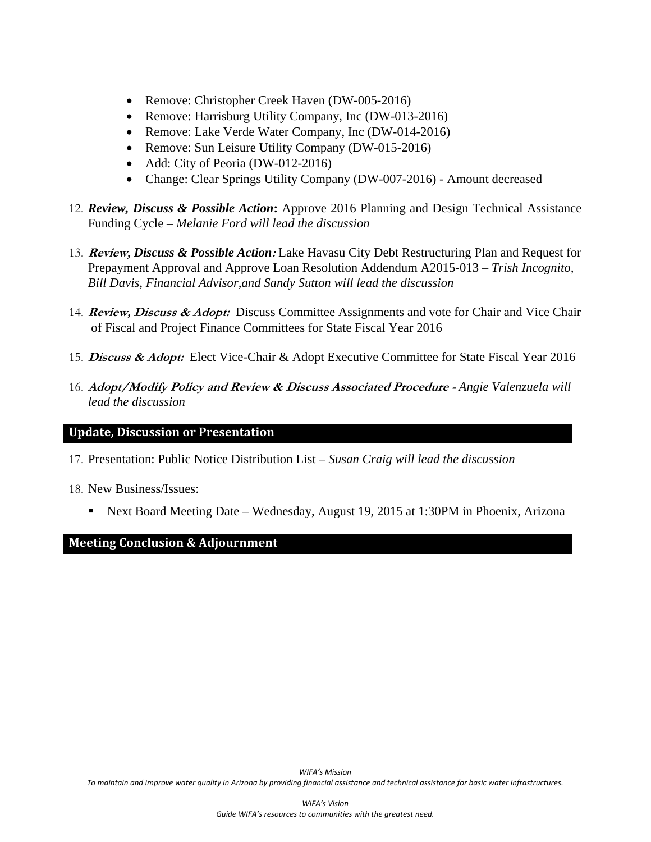- Remove: Christopher Creek Haven (DW-005-2016)
- Remove: Harrisburg Utility Company, Inc (DW-013-2016)
- Remove: Lake Verde Water Company, Inc (DW-014-2016)
- Remove: Sun Leisure Utility Company (DW-015-2016)
- Add: City of Peoria (DW-012-2016)
- Change: Clear Springs Utility Company (DW-007-2016) Amount decreased
- 12. *Review, Discuss & Possible Action***:** Approve 2016 Planning and Design Technical Assistance Funding Cycle – *Melanie Ford will lead the discussion*
- 13. **Review,** *Discuss & Possible Action***:** Lake Havasu City Debt Restructuring Plan and Request for Prepayment Approval and Approve Loan Resolution Addendum A2015-013 – *Trish Incognito, Bill Davis, Financial Advisor,and Sandy Sutton will lead the discussion*
- 14. **Review, Discuss & Adopt:**Discuss Committee Assignments and vote for Chair and Vice Chair of Fiscal and Project Finance Committees for State Fiscal Year 2016
- 15. **Discuss & Adopt:**Elect Vice-Chair & Adopt Executive Committee for State Fiscal Year 2016
- 16. **Adopt/Modify Policy and Review & Discuss Associated Procedure** *Angie Valenzuela will lead the discussion*

# **Update, Discussion or Presentation**

- 17. Presentation: Public Notice Distribution List *Susan Craig will lead the discussion*
- 18. New Business/Issues:
	- Next Board Meeting Date Wednesday, August 19, 2015 at 1:30PM in Phoenix, Arizona

# **Meeting Conclusion & Adjournment**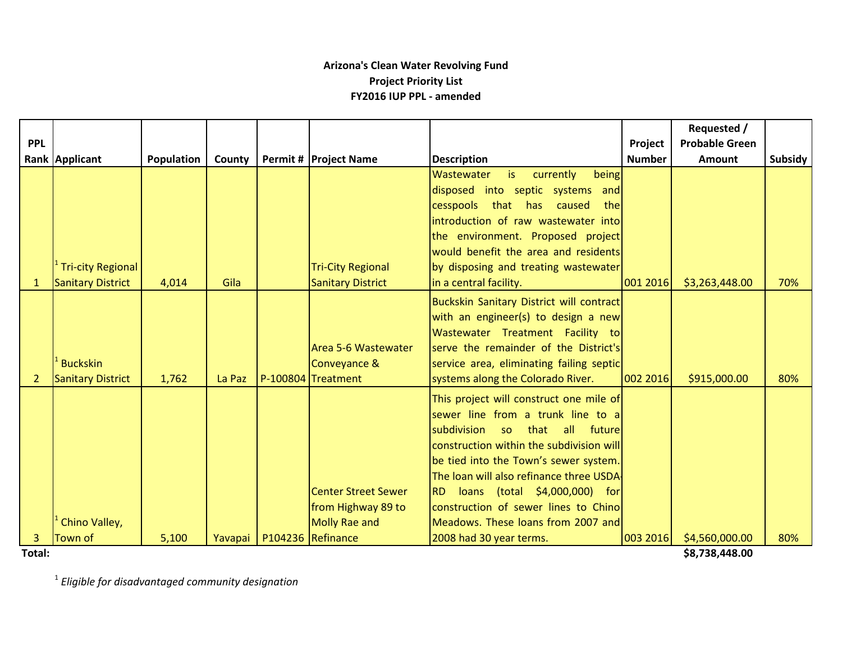# **Arizona's Clean Water Revolving Fund Project Priority List FY2016 IUP PPL - amended**

|                |                          |            |         |                            |                                                       |               | Requested /           |         |
|----------------|--------------------------|------------|---------|----------------------------|-------------------------------------------------------|---------------|-----------------------|---------|
| <b>PPL</b>     |                          |            |         |                            |                                                       | Project       | <b>Probable Green</b> |         |
|                | Rank Applicant           | Population | County  | Permit #   Project Name    | <b>Description</b>                                    | <b>Number</b> | <b>Amount</b>         | Subsidy |
|                |                          |            |         |                            | currently<br>being<br>Wastewater<br>is                |               |                       |         |
|                |                          |            |         |                            | disposed into septic systems<br>and                   |               |                       |         |
|                |                          |            |         |                            | cesspools that has caused<br>the                      |               |                       |         |
|                |                          |            |         |                            | introduction of raw wastewater into                   |               |                       |         |
|                |                          |            |         |                            | the environment. Proposed project                     |               |                       |         |
|                |                          |            |         |                            | would benefit the area and residents                  |               |                       |         |
|                | Tri-city Regional        |            |         | <b>Tri-City Regional</b>   | by disposing and treating wastewater                  |               |                       |         |
|                | <b>Sanitary District</b> | 4,014      | Gila    | <b>Sanitary District</b>   | in a central facility.                                | 001 2016      | \$3,263,448.00        | 70%     |
|                |                          |            |         |                            | Buckskin Sanitary District will contract              |               |                       |         |
|                |                          |            |         |                            | with an engineer(s) to design a new                   |               |                       |         |
|                |                          |            |         |                            | Wastewater Treatment Facility to                      |               |                       |         |
|                |                          |            |         | Area 5-6 Wastewater        | serve the remainder of the District's                 |               |                       |         |
|                | <b>Buckskin</b>          |            |         | <b>Conveyance &amp;</b>    | service area, eliminating failing septic              |               |                       |         |
| $\overline{2}$ | <b>Sanitary District</b> | 1,762      | La Paz  | P-100804 Treatment         | systems along the Colorado River.                     | 002 2016      | \$915,000.00          | 80%     |
|                |                          |            |         |                            | This project will construct one mile of               |               |                       |         |
|                |                          |            |         |                            | sewer line from a trunk line to a                     |               |                       |         |
|                |                          |            |         |                            | subdivision<br>all<br>future<br>that<br><sub>SO</sub> |               |                       |         |
|                |                          |            |         |                            | construction within the subdivision will              |               |                       |         |
|                |                          |            |         |                            | be tied into the Town's sewer system.                 |               |                       |         |
|                |                          |            |         |                            | The loan will also refinance three USDA               |               |                       |         |
|                |                          |            |         | <b>Center Street Sewer</b> | loans (total \$4,000,000) for<br>IRD.                 |               |                       |         |
|                |                          |            |         | from Highway 89 to         | construction of sewer lines to Chino                  |               |                       |         |
|                | Chino Valley,            |            |         | <b>Molly Rae and</b>       | Meadows. These loans from 2007 and                    |               |                       |         |
|                | Town of                  | 5,100      | Yavapai | P104236 Refinance          | 2008 had 30 year terms.                               | 003 2016      | \$4,560,000.00        | 80%     |

**Total:**

**\$8,738,448.00** 

<sup>1</sup> *Eligible for disadvantaged community designation*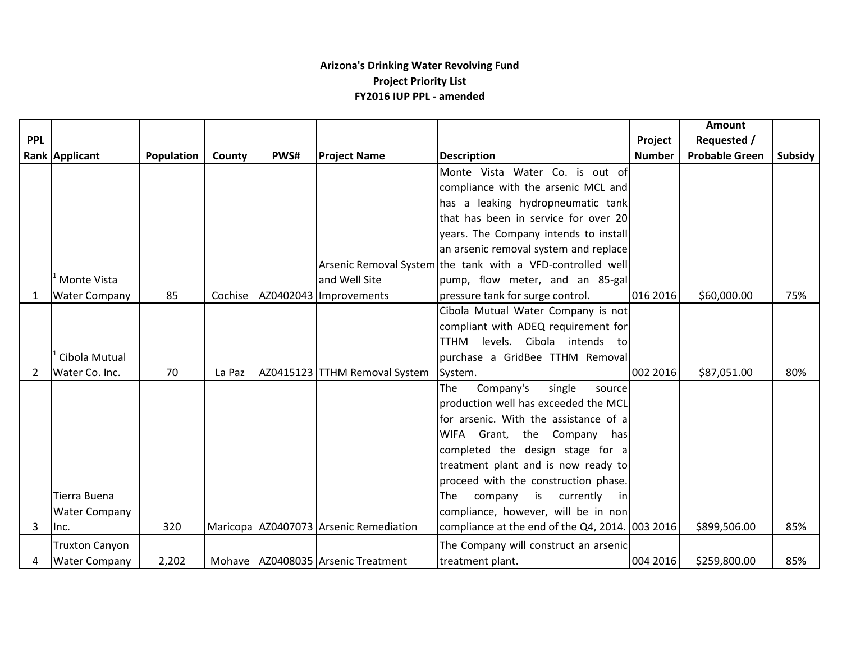# **Arizona's Drinking Water Revolving Fund Project Priority List FY2016 IUP PPL - amended**

|            |                       |                   |         |      |                                        |                                                            |               | <b>Amount</b>         |         |
|------------|-----------------------|-------------------|---------|------|----------------------------------------|------------------------------------------------------------|---------------|-----------------------|---------|
| <b>PPL</b> |                       |                   |         |      |                                        |                                                            | Project       | <b>Requested /</b>    |         |
|            | Rank Applicant        | <b>Population</b> | County  | PWS# | <b>Project Name</b>                    | <b>Description</b>                                         | <b>Number</b> | <b>Probable Green</b> | Subsidy |
|            |                       |                   |         |      |                                        | Monte Vista Water Co. is out of                            |               |                       |         |
|            |                       |                   |         |      |                                        | compliance with the arsenic MCL and                        |               |                       |         |
|            |                       |                   |         |      |                                        | has a leaking hydropneumatic tank                          |               |                       |         |
|            |                       |                   |         |      |                                        | that has been in service for over 20                       |               |                       |         |
|            |                       |                   |         |      |                                        | years. The Company intends to install                      |               |                       |         |
|            |                       |                   |         |      |                                        | an arsenic removal system and replace                      |               |                       |         |
|            |                       |                   |         |      |                                        | Arsenic Removal System the tank with a VFD-controlled well |               |                       |         |
|            | Monte Vista           |                   |         |      | and Well Site                          | pump, flow meter, and an 85-gal                            |               |                       |         |
| 1          | <b>Water Company</b>  | 85                | Cochise |      | AZ0402043   Improvements               | pressure tank for surge control.                           | 016 2016      | \$60,000.00           | 75%     |
|            |                       |                   |         |      |                                        | Cibola Mutual Water Company is not                         |               |                       |         |
|            |                       |                   |         |      |                                        | compliant with ADEQ requirement for                        |               |                       |         |
|            |                       |                   |         |      |                                        | levels.<br>Cibola intends to<br>TTHM                       |               |                       |         |
|            | Cibola Mutual         |                   |         |      |                                        | purchase a GridBee TTHM Removal                            |               |                       |         |
| 2          | Water Co. Inc.        | 70                | La Paz  |      | AZ0415123 TTHM Removal System          | System.                                                    | 002 2016      | \$87,051.00           | 80%     |
|            |                       |                   |         |      |                                        | The<br>Company's<br>single<br>sourcel                      |               |                       |         |
|            |                       |                   |         |      |                                        | production well has exceeded the MCL                       |               |                       |         |
|            |                       |                   |         |      |                                        | for arsenic. With the assistance of a                      |               |                       |         |
|            |                       |                   |         |      |                                        | WIFA Grant, the Company<br>has                             |               |                       |         |
|            |                       |                   |         |      |                                        | completed the design stage for a                           |               |                       |         |
|            |                       |                   |         |      |                                        | treatment plant and is now ready to                        |               |                       |         |
|            |                       |                   |         |      |                                        | proceed with the construction phase.                       |               |                       |         |
|            | Tierra Buena          |                   |         |      |                                        | company is<br>The<br>currently in                          |               |                       |         |
|            | <b>Water Company</b>  |                   |         |      |                                        | compliance, however, will be in non                        |               |                       |         |
| 3          | Inc.                  | 320               |         |      | Maricopa AZ0407073 Arsenic Remediation | compliance at the end of the Q4, 2014. 003 2016            |               | \$899,506.00          | 85%     |
|            | <b>Truxton Canyon</b> |                   |         |      |                                        | The Company will construct an arsenic                      |               |                       |         |
| 4          | <b>Water Company</b>  | 2,202             |         |      | Mohave   AZ0408035   Arsenic Treatment | treatment plant.                                           | 004 2016      | \$259,800.00          | 85%     |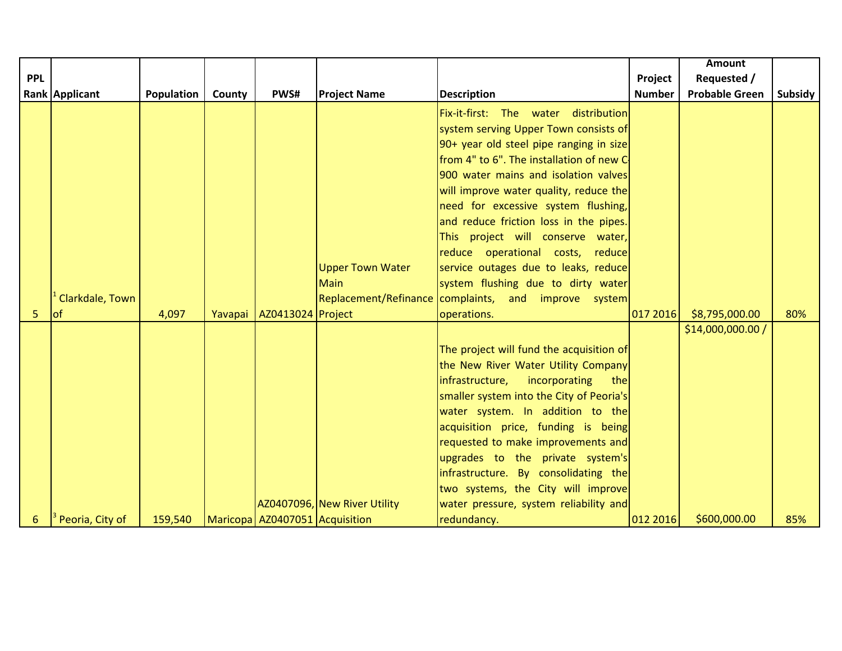|            |                 |                   |        |                                |                              |                                                      |               | <b>Amount</b>         |         |
|------------|-----------------|-------------------|--------|--------------------------------|------------------------------|------------------------------------------------------|---------------|-----------------------|---------|
| <b>PPL</b> |                 |                   |        |                                |                              |                                                      | Project       | Requested /           |         |
|            | Rank Applicant  | <b>Population</b> | County | PWS#                           | <b>Project Name</b>          | <b>Description</b>                                   | <b>Number</b> | <b>Probable Green</b> | Subsidy |
|            |                 |                   |        |                                |                              | Fix-it-first: The water<br>distribution              |               |                       |         |
|            |                 |                   |        |                                |                              | system serving Upper Town consists of                |               |                       |         |
|            |                 |                   |        |                                |                              | 90+ year old steel pipe ranging in size              |               |                       |         |
|            |                 |                   |        |                                |                              | from 4" to 6". The installation of new C-            |               |                       |         |
|            |                 |                   |        |                                |                              | 900 water mains and isolation valves                 |               |                       |         |
|            |                 |                   |        |                                |                              | will improve water quality, reduce the               |               |                       |         |
|            |                 |                   |        |                                |                              | need for excessive system flushing,                  |               |                       |         |
|            |                 |                   |        |                                |                              | and reduce friction loss in the pipes.               |               |                       |         |
|            |                 |                   |        |                                |                              | This project will conserve water,                    |               |                       |         |
|            |                 |                   |        |                                |                              | reduce operational costs, reduce                     |               |                       |         |
|            |                 |                   |        |                                | <b>Upper Town Water</b>      | service outages due to leaks, reduce                 |               |                       |         |
|            |                 |                   |        |                                | <b>Main</b>                  | system flushing due to dirty water                   |               |                       |         |
|            | Clarkdale, Town |                   |        |                                |                              | Replacement/Refinance complaints, and improve system |               |                       |         |
| 5          | lof             | 4,097             |        | Yavapai AZ0413024 Project      |                              | operations.                                          | 017 2016      | \$8,795,000.00        | 80%     |
|            |                 |                   |        |                                |                              |                                                      |               | \$14,000,000.00 /     |         |
|            |                 |                   |        |                                |                              | The project will fund the acquisition of             |               |                       |         |
|            |                 |                   |        |                                |                              | the New River Water Utility Company                  |               |                       |         |
|            |                 |                   |        |                                |                              | infrastructure,<br>incorporating<br>the              |               |                       |         |
|            |                 |                   |        |                                |                              | smaller system into the City of Peoria's             |               |                       |         |
|            |                 |                   |        |                                |                              | water system. In addition to the                     |               |                       |         |
|            |                 |                   |        |                                |                              | acquisition price, funding is being                  |               |                       |         |
|            |                 |                   |        |                                |                              | requested to make improvements and                   |               |                       |         |
|            |                 |                   |        |                                |                              | upgrades to the private system's                     |               |                       |         |
|            |                 |                   |        |                                |                              | infrastructure. By consolidating the                 |               |                       |         |
|            |                 |                   |        |                                |                              | two systems, the City will improve                   |               |                       |         |
|            |                 |                   |        |                                | AZ0407096, New River Utility | water pressure, system reliability and               |               |                       |         |
| 6          | Peoria, City of | 159,540           |        | Maricopa AZ0407051 Acquisition |                              | redundancy.                                          | 012 2016      | \$600,000.00          | 85%     |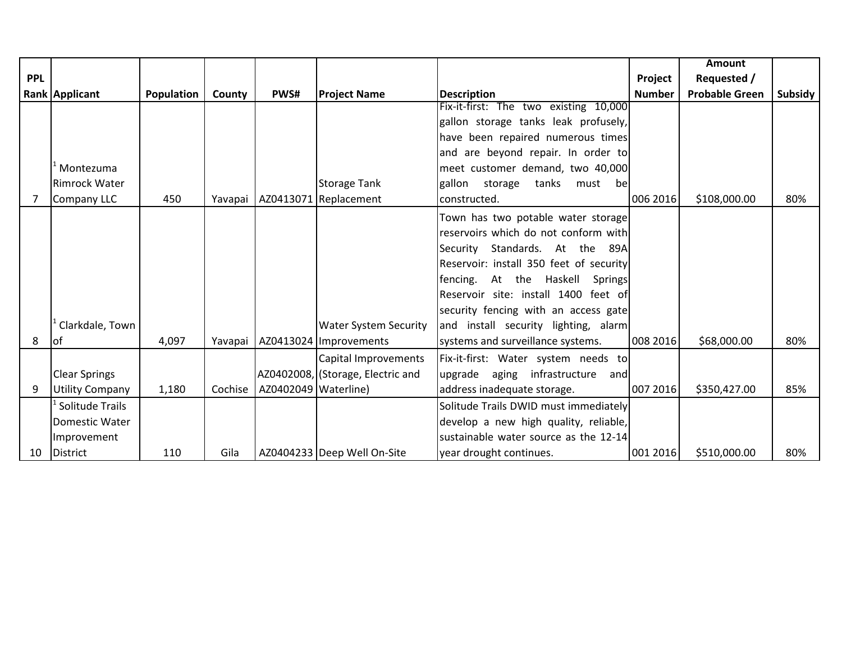|            |                        |                   |         |                        |                                    |                                         |               | <b>Amount</b>         |         |
|------------|------------------------|-------------------|---------|------------------------|------------------------------------|-----------------------------------------|---------------|-----------------------|---------|
| <b>PPL</b> |                        |                   |         |                        |                                    |                                         | Project       | Requested /           |         |
|            | <b>Rank Applicant</b>  | <b>Population</b> | County  | PWS#                   | <b>Project Name</b>                | <b>Description</b>                      | <b>Number</b> | <b>Probable Green</b> | Subsidy |
|            |                        |                   |         |                        |                                    | Fix-it-first: The two existing 10,000   |               |                       |         |
|            |                        |                   |         |                        |                                    | gallon storage tanks leak profusely,    |               |                       |         |
|            |                        |                   |         |                        |                                    | have been repaired numerous times       |               |                       |         |
|            |                        |                   |         |                        |                                    | and are beyond repair. In order to      |               |                       |         |
|            | Montezuma              |                   |         |                        |                                    | meet customer demand, two 40,000        |               |                       |         |
|            | <b>Rimrock Water</b>   |                   |         |                        | <b>Storage Tank</b>                | tanks<br>gallon storage<br>must be      |               |                       |         |
|            | Company LLC            | 450               |         |                        | Yavapai   AZ0413071   Replacement  | constructed.                            | 006 2016      | \$108,000.00          | 80%     |
|            |                        |                   |         |                        |                                    | Town has two potable water storage      |               |                       |         |
|            |                        |                   |         |                        |                                    | reservoirs which do not conform with    |               |                       |         |
|            |                        |                   |         |                        |                                    | Security Standards. At the<br>89Al      |               |                       |         |
|            |                        |                   |         |                        |                                    | Reservoir: install 350 feet of security |               |                       |         |
|            |                        |                   |         |                        |                                    | fencing. At the Haskell<br>Springs      |               |                       |         |
|            |                        |                   |         |                        |                                    | Reservoir site: install 1400 feet of    |               |                       |         |
|            |                        |                   |         |                        |                                    | security fencing with an access gate    |               |                       |         |
|            | Clarkdale, Town        |                   |         |                        | <b>Water System Security</b>       | and install security lighting, alarm    |               |                       |         |
| 8          | lof                    | 4,097             |         |                        | Yavapai   AZ0413024   Improvements | systems and surveillance systems.       | 008 2016      | \$68,000.00           | 80%     |
|            |                        |                   |         |                        | Capital Improvements               | Fix-it-first: Water system needs to     |               |                       |         |
|            | <b>Clear Springs</b>   |                   |         |                        | AZ0402008, (Storage, Electric and  | aging infrastructure<br>upgrade<br>and  |               |                       |         |
| 9          | <b>Utility Company</b> | 1,180             | Cochise | AZ0402049   Waterline) |                                    | address inadequate storage.             | 007 2016      | \$350,427.00          | 85%     |
|            | <b>Solitude Trails</b> |                   |         |                        |                                    | Solitude Trails DWID must immediately   |               |                       |         |
|            | Domestic Water         |                   |         |                        |                                    | develop a new high quality, reliable,   |               |                       |         |
|            | Improvement            |                   |         |                        |                                    | Isustainable water source as the 12-14  |               |                       |         |
| 10         | <b>District</b>        | 110               | Gila    |                        | AZ0404233 Deep Well On-Site        | year drought continues.                 | 001 2016      | \$510,000.00          | 80%     |